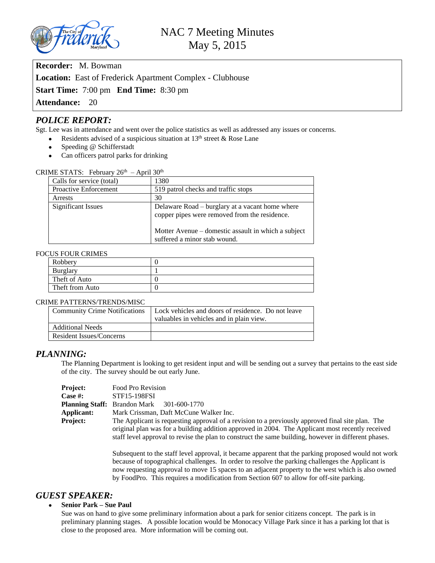

**Recorder:** M. Bowman

**Location:** East of Frederick Apartment Complex - Clubhouse

**Start Time:** 7:00 pm **End Time:** 8:30 pm

Attendance: 20

# *POLICE REPORT:*

Sgt. Lee was in attendance and went over the police statistics as well as addressed any issues or concerns.

- Residents advised of a suspicious situation at  $13<sup>th</sup>$  street & Rose Lane
- Speeding @ Schifferstadt
- Can officers patrol parks for drinking

| 1111101                      |                                                                                                  |
|------------------------------|--------------------------------------------------------------------------------------------------|
| Calls for service (total)    | 1380                                                                                             |
| <b>Proactive Enforcement</b> | 519 patrol checks and traffic stops                                                              |
| Arrests                      | 30                                                                                               |
| Significant Issues           | Delaware Road – burglary at a vacant home where<br>copper pipes were removed from the residence. |
|                              | Motter Avenue – domestic assault in which a subject<br>suffered a minor stab wound.              |

### CRIME STATS: February  $26<sup>th</sup>$  – April 30<sup>th</sup>

### FOCUS FOUR CRIMES

| Robbery         |  |  |  |
|-----------------|--|--|--|
| Burglary        |  |  |  |
| Theft of Auto   |  |  |  |
| Theft from Auto |  |  |  |
|                 |  |  |  |

#### CRIME PATTERNS/TRENDS/MISC

| <b>Community Crime Notifications</b> | Lock vehicles and doors of residence. Do not leave |
|--------------------------------------|----------------------------------------------------|
|                                      | valuables in vehicles and in plain view.           |
| <b>Additional Needs</b>              |                                                    |
| Resident Issues/Concerns             |                                                    |

### *PLANNING:*

The Planning Department is looking to get resident input and will be sending out a survey that pertains to the east side of the city. The survey should be out early June.

| <b>Project:</b> | Food Pro Revision                                                                                    |  |
|-----------------|------------------------------------------------------------------------------------------------------|--|
| Case #:         | <b>STF15-198FSI</b>                                                                                  |  |
|                 | <b>Planning Staff:</b> Brandon Mark 301-600-1770                                                     |  |
| Applicant:      | Mark Crissman, Daft McCune Walker Inc.                                                               |  |
| <b>Project:</b> | The Applicant is requesting approval of a revision to a previously approved final site plan. The     |  |
|                 | original plan was for a building addition approved in 2004. The Applicant most recently received     |  |
|                 | staff level approval to revise the plan to construct the same building, however in different phases. |  |

Subsequent to the staff level approval, it became apparent that the parking proposed would not work because of topographical challenges. In order to resolve the parking challenges the Applicant is now requesting approval to move 15 spaces to an adjacent property to the west which is also owned by FoodPro. This requires a modification from Section 607 to allow for off-site parking.

### *GUEST SPEAKER:*

#### **Senior Park – Sue Paul**

Sue was on hand to give some preliminary information about a park for senior citizens concept. The park is in preliminary planning stages. A possible location would be Monocacy Village Park since it has a parking lot that is close to the proposed area. More information will be coming out.